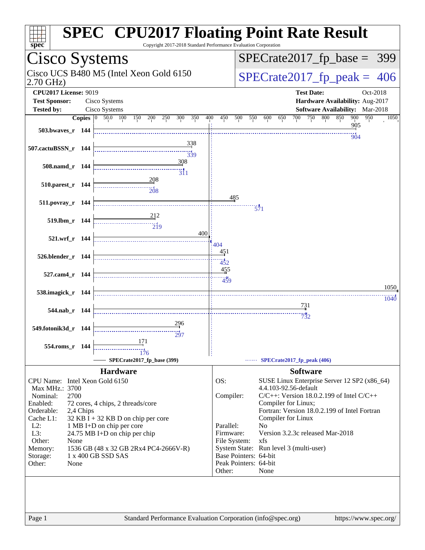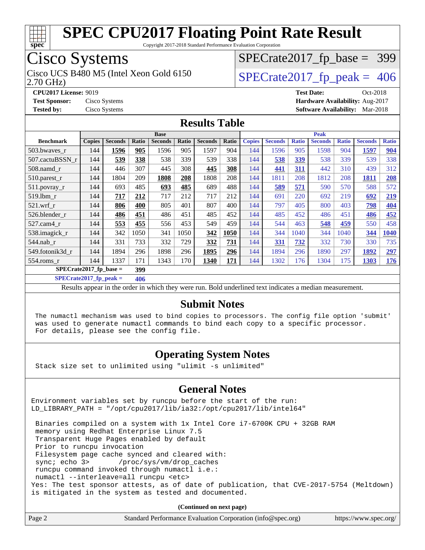

Copyright 2017-2018 Standard Performance Evaluation Corporation

### Cisco Systems

2.70 GHz) Cisco UCS B480 M5 (Intel Xeon Gold 6150  $\vert$  [SPECrate2017\\_fp\\_peak =](http://www.spec.org/auto/cpu2017/Docs/result-fields.html#SPECrate2017fppeak) 406

[SPECrate2017\\_fp\\_base =](http://www.spec.org/auto/cpu2017/Docs/result-fields.html#SPECrate2017fpbase) 399

**[CPU2017 License:](http://www.spec.org/auto/cpu2017/Docs/result-fields.html#CPU2017License)** 9019 **[Test Date:](http://www.spec.org/auto/cpu2017/Docs/result-fields.html#TestDate)** Oct-2018 **[Test Sponsor:](http://www.spec.org/auto/cpu2017/Docs/result-fields.html#TestSponsor)** Cisco Systems **[Hardware Availability:](http://www.spec.org/auto/cpu2017/Docs/result-fields.html#HardwareAvailability)** Aug-2017 **[Tested by:](http://www.spec.org/auto/cpu2017/Docs/result-fields.html#Testedby)** Cisco Systems **[Software Availability:](http://www.spec.org/auto/cpu2017/Docs/result-fields.html#SoftwareAvailability)** Mar-2018

#### **[Results Table](http://www.spec.org/auto/cpu2017/Docs/result-fields.html#ResultsTable)**

|                          | <b>Base</b>   |                |       |                |              |                |       |               | <b>Peak</b>    |              |                |              |                |              |  |
|--------------------------|---------------|----------------|-------|----------------|--------------|----------------|-------|---------------|----------------|--------------|----------------|--------------|----------------|--------------|--|
| <b>Benchmark</b>         | <b>Copies</b> | <b>Seconds</b> | Ratio | <b>Seconds</b> | <b>Ratio</b> | <b>Seconds</b> | Ratio | <b>Copies</b> | <b>Seconds</b> | <b>Ratio</b> | <b>Seconds</b> | <b>Ratio</b> | <b>Seconds</b> | <b>Ratio</b> |  |
| 503.bwaves_r             | 144           | 1596           | 905   | 1596           | 905          | 1597           | 904   | 144           | 1596           | 905          | 1598           | 904          | 1597           | 904          |  |
| 507.cactuBSSN r          | 144           | 539            | 338   | 538            | 339          | 539            | 338   | 144           | 538            | 339          | 538            | 339          | 539            | 338          |  |
| $508$ .namd $r$          | 144           | 446            | 307   | 445            | 308          | 445            | 308   | 144           | 441            | 311          | 442            | 310          | 439            | 312          |  |
| 510.parest_r             | 144           | 1804           | 209   | 1808           | 208          | 1808           | 208   | 144           | 1811           | 208          | 1812           | 208          | 1811           | 208          |  |
| 511.povray_r             | 144           | 693            | 485   | 693            | 485          | 689            | 488   | 144           | 589            | 571          | 590            | 570          | 588            | 572          |  |
| 519.1bm r                | 144           | 717            | 212   | 717            | 212          | 717            | 212   | 144           | 691            | 220          | 692            | 219          | 692            | 219          |  |
| $521$ .wrf r             | 144           | 806            | 400   | 805            | 401          | 807            | 400   | 144           | 797            | 405          | 800            | 403          | 798            | 404          |  |
| 526.blender r            | 144           | 486            | 451   | 486            | 451          | 485            | 452   | 144           | 485            | 452          | 486            | 451          | 486            | 452          |  |
| $527$ .cam $4$ r         | 144           | 553            | 455   | 556            | 453          | 549            | 459   | 144           | 544            | 463          | 548            | 459          | 550            | 458          |  |
| 538.imagick_r            | 144           | 342            | 1050  | 341            | 1050         | 342            | 1050  | 144           | 344            | 1040         | 344            | 1040         | 344            | 1040         |  |
| $544$ .nab r             | 144           | 331            | 733   | 332            | 729          | 332            | 731   | 144           | 331            | 732          | 332            | 730          | 330            | 735          |  |
| 549.fotonik3d r          | 144           | 1894           | 296   | 1898           | 296          | 1895           | 296   | 144           | 1894           | 296          | 1890           | 297          | 1892           | 297          |  |
| 554.roms r               | 144           | 1337           | 171   | 1343           | 170          | 1340           | 171   | 144           | 1302           | 176          | 1304           | 175          | 1303           | <u>176</u>   |  |
| $SPECrate2017$ fp base = |               |                | 399   |                |              |                |       |               |                |              |                |              |                |              |  |

**[SPECrate2017\\_fp\\_peak =](http://www.spec.org/auto/cpu2017/Docs/result-fields.html#SPECrate2017fppeak) 406**

Results appear in the [order in which they were run](http://www.spec.org/auto/cpu2017/Docs/result-fields.html#RunOrder). Bold underlined text [indicates a median measurement](http://www.spec.org/auto/cpu2017/Docs/result-fields.html#Median).

#### **[Submit Notes](http://www.spec.org/auto/cpu2017/Docs/result-fields.html#SubmitNotes)**

 The numactl mechanism was used to bind copies to processors. The config file option 'submit' was used to generate numactl commands to bind each copy to a specific processor. For details, please see the config file.

#### **[Operating System Notes](http://www.spec.org/auto/cpu2017/Docs/result-fields.html#OperatingSystemNotes)**

Stack size set to unlimited using "ulimit -s unlimited"

#### **[General Notes](http://www.spec.org/auto/cpu2017/Docs/result-fields.html#GeneralNotes)**

Environment variables set by runcpu before the start of the run: LD\_LIBRARY\_PATH = "/opt/cpu2017/lib/ia32:/opt/cpu2017/lib/intel64"

 Binaries compiled on a system with 1x Intel Core i7-6700K CPU + 32GB RAM memory using Redhat Enterprise Linux 7.5 Transparent Huge Pages enabled by default Prior to runcpu invocation Filesystem page cache synced and cleared with: sync; echo 3> /proc/sys/vm/drop\_caches runcpu command invoked through numactl i.e.: numactl --interleave=all runcpu <etc> Yes: The test sponsor attests, as of date of publication, that CVE-2017-5754 (Meltdown) is mitigated in the system as tested and documented.

**(Continued on next page)**

| Page 2 | Standard Performance Evaluation Corporation (info@spec.org) | https://www.spec.org/ |
|--------|-------------------------------------------------------------|-----------------------|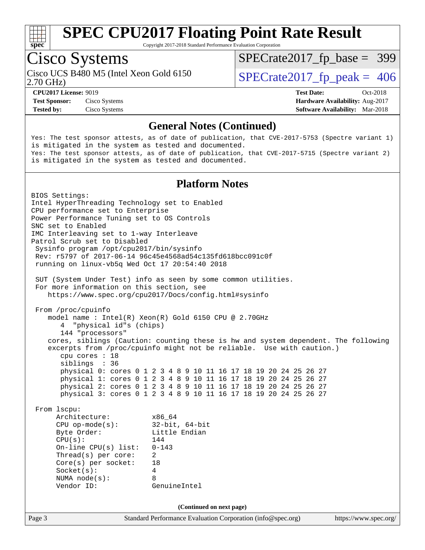

Copyright 2017-2018 Standard Performance Evaluation Corporation

### Cisco Systems

Cisco UCS B480 M5 (Intel Xeon Gold 6150  $\vert$  [SPECrate2017\\_fp\\_peak =](http://www.spec.org/auto/cpu2017/Docs/result-fields.html#SPECrate2017fppeak) 406

[SPECrate2017\\_fp\\_base =](http://www.spec.org/auto/cpu2017/Docs/result-fields.html#SPECrate2017fpbase) 399

2.70 GHz)

**[Tested by:](http://www.spec.org/auto/cpu2017/Docs/result-fields.html#Testedby)** Cisco Systems **[Software Availability:](http://www.spec.org/auto/cpu2017/Docs/result-fields.html#SoftwareAvailability)** Mar-2018

**[CPU2017 License:](http://www.spec.org/auto/cpu2017/Docs/result-fields.html#CPU2017License)** 9019 **[Test Date:](http://www.spec.org/auto/cpu2017/Docs/result-fields.html#TestDate)** Oct-2018 **[Test Sponsor:](http://www.spec.org/auto/cpu2017/Docs/result-fields.html#TestSponsor)** Cisco Systems **[Hardware Availability:](http://www.spec.org/auto/cpu2017/Docs/result-fields.html#HardwareAvailability)** Aug-2017

#### **[General Notes \(Continued\)](http://www.spec.org/auto/cpu2017/Docs/result-fields.html#GeneralNotes)**

Yes: The test sponsor attests, as of date of publication, that CVE-2017-5753 (Spectre variant 1) is mitigated in the system as tested and documented. Yes: The test sponsor attests, as of date of publication, that CVE-2017-5715 (Spectre variant 2) is mitigated in the system as tested and documented.

#### **[Platform Notes](http://www.spec.org/auto/cpu2017/Docs/result-fields.html#PlatformNotes)**

Page 3 Standard Performance Evaluation Corporation [\(info@spec.org\)](mailto:info@spec.org) <https://www.spec.org/> BIOS Settings: Intel HyperThreading Technology set to Enabled CPU performance set to Enterprise Power Performance Tuning set to OS Controls SNC set to Enabled IMC Interleaving set to 1-way Interleave Patrol Scrub set to Disabled Sysinfo program /opt/cpu2017/bin/sysinfo Rev: r5797 of 2017-06-14 96c45e4568ad54c135fd618bcc091c0f running on linux-vb5q Wed Oct 17 20:54:40 2018 SUT (System Under Test) info as seen by some common utilities. For more information on this section, see <https://www.spec.org/cpu2017/Docs/config.html#sysinfo> From /proc/cpuinfo model name : Intel(R) Xeon(R) Gold 6150 CPU @ 2.70GHz 4 "physical id"s (chips) 144 "processors" cores, siblings (Caution: counting these is hw and system dependent. The following excerpts from /proc/cpuinfo might not be reliable. Use with caution.) cpu cores : 18 siblings : 36 physical 0: cores 0 1 2 3 4 8 9 10 11 16 17 18 19 20 24 25 26 27 physical 1: cores 0 1 2 3 4 8 9 10 11 16 17 18 19 20 24 25 26 27 physical 2: cores 0 1 2 3 4 8 9 10 11 16 17 18 19 20 24 25 26 27 physical 3: cores 0 1 2 3 4 8 9 10 11 16 17 18 19 20 24 25 26 27 From lscpu: Architecture: x86\_64 CPU op-mode(s): 32-bit, 64-bit Byte Order: Little Endian CPU(s): 144 On-line CPU(s) list: 0-143 Thread(s) per core: 2 Core(s) per socket: 18 Socket(s): 4 NUMA node(s): 8 Vendor ID: GenuineIntel **(Continued on next page)**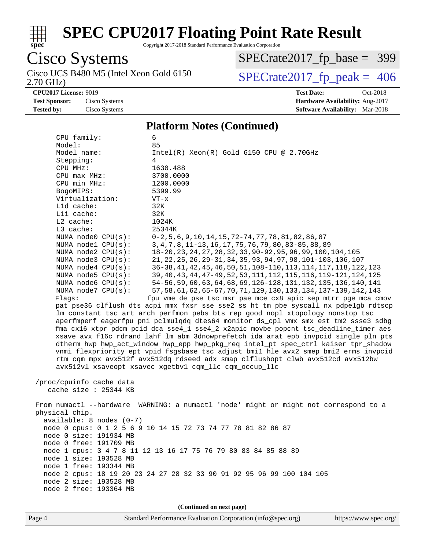

Copyright 2017-2018 Standard Performance Evaluation Corporation

#### Cisco Systems 2.70 GHz) Cisco UCS B480 M5 (Intel Xeon Gold 6150  $\vert$  [SPECrate2017\\_fp\\_peak =](http://www.spec.org/auto/cpu2017/Docs/result-fields.html#SPECrate2017fppeak) 406

[SPECrate2017\\_fp\\_base =](http://www.spec.org/auto/cpu2017/Docs/result-fields.html#SPECrate2017fpbase) 399

**[Tested by:](http://www.spec.org/auto/cpu2017/Docs/result-fields.html#Testedby)** Cisco Systems **[Software Availability:](http://www.spec.org/auto/cpu2017/Docs/result-fields.html#SoftwareAvailability)** Mar-2018

**[CPU2017 License:](http://www.spec.org/auto/cpu2017/Docs/result-fields.html#CPU2017License)** 9019 **[Test Date:](http://www.spec.org/auto/cpu2017/Docs/result-fields.html#TestDate)** Oct-2018 **[Test Sponsor:](http://www.spec.org/auto/cpu2017/Docs/result-fields.html#TestSponsor)** Cisco Systems **[Hardware Availability:](http://www.spec.org/auto/cpu2017/Docs/result-fields.html#HardwareAvailability)** Aug-2017

#### **[Platform Notes \(Continued\)](http://www.spec.org/auto/cpu2017/Docs/result-fields.html#PlatformNotes)**

 CPU family: 6 Model: 85 Model name: Intel(R) Xeon(R) Gold 6150 CPU @ 2.70GHz Stepping: 4 CPU MHz: 1630.488 CPU max MHz: 3700.0000 CPU min MHz: 1200.0000<br>BogoMIPS: 5399.99 BogoMIPS: Virtualization: VT-x L1d cache: 32K L1i cache: 32K L2 cache: 1024K L3 cache: 25344K NUMA node0 CPU(s): 0-2,5,6,9,10,14,15,72-74,77,78,81,82,86,87 NUMA node1 CPU(s): 3,4,7,8,11-13,16,17,75,76,79,80,83-85,88,89 NUMA node2 CPU(s): 18-20,23,24,27,28,32,33,90-92,95,96,99,100,104,105 NUMA node3 CPU(s): 21,22,25,26,29-31,34,35,93,94,97,98,101-103,106,107 NUMA node4 CPU(s): 36-38,41,42,45,46,50,51,108-110,113,114,117,118,122,123 NUMA node5 CPU(s): 39,40,43,44,47-49,52,53,111,112,115,116,119-121,124,125 NUMA node6 CPU(s): 54-56,59,60,63,64,68,69,126-128,131,132,135,136,140,141 NUMA node7 CPU(s): 57,58,61,62,65-67,70,71,129,130,133,134,137-139,142,143 Flags: fpu vme de pse tsc msr pae mce cx8 apic sep mtrr pge mca cmov pat pse36 clflush dts acpi mmx fxsr sse sse2 ss ht tm pbe syscall nx pdpe1gb rdtscp lm constant\_tsc art arch\_perfmon pebs bts rep\_good nopl xtopology nonstop\_tsc aperfmperf eagerfpu pni pclmulqdq dtes64 monitor ds\_cpl vmx smx est tm2 ssse3 sdbg fma cx16 xtpr pdcm pcid dca sse4\_1 sse4\_2 x2apic movbe popcnt tsc\_deadline\_timer aes xsave avx f16c rdrand lahf\_lm abm 3dnowprefetch ida arat epb invpcid\_single pln pts dtherm hwp hwp\_act\_window hwp\_epp hwp\_pkg\_req intel\_pt spec\_ctrl kaiser tpr\_shadow vnmi flexpriority ept vpid fsgsbase tsc\_adjust bmi1 hle avx2 smep bmi2 erms invpcid rtm cqm mpx avx512f avx512dq rdseed adx smap clflushopt clwb avx512cd avx512bw avx512vl xsaveopt xsavec xgetbv1 cqm\_llc cqm\_occup\_llc /proc/cpuinfo cache data cache size : 25344 KB From numactl --hardware WARNING: a numactl 'node' might or might not correspond to a physical chip. available: 8 nodes (0-7) node 0 cpus: 0 1 2 5 6 9 10 14 15 72 73 74 77 78 81 82 86 87 node 0 size: 191934 MB node 0 free: 191709 MB node 1 cpus: 3 4 7 8 11 12 13 16 17 75 76 79 80 83 84 85 88 89 node 1 size: 193528 MB node 1 free: 193344 MB node 2 cpus: 18 19 20 23 24 27 28 32 33 90 91 92 95 96 99 100 104 105 node 2 size: 193528 MB node 2 free: 193364 MB **(Continued on next page)**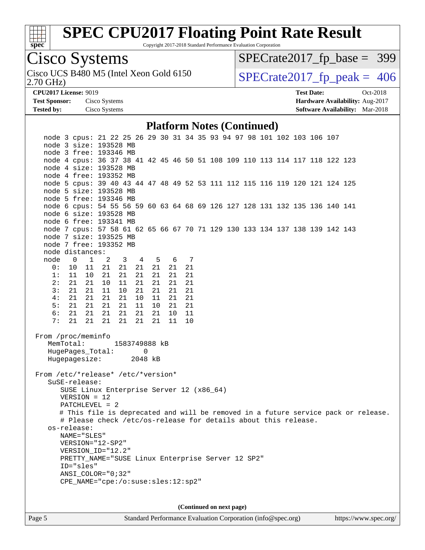

Copyright 2017-2018 Standard Performance Evaluation Corporation

# Cisco Systems<br>Cisco UCS B480 M5 (Intel Xeon Gold 6150)

2.70 GHz)

[SPECrate2017\\_fp\\_base =](http://www.spec.org/auto/cpu2017/Docs/result-fields.html#SPECrate2017fpbase) 399

 $SPECTate 2017_fp\_peak = 406$ 

**[Test Sponsor:](http://www.spec.org/auto/cpu2017/Docs/result-fields.html#TestSponsor)** Cisco Systems **[Hardware Availability:](http://www.spec.org/auto/cpu2017/Docs/result-fields.html#HardwareAvailability)** Aug-2017 **[Tested by:](http://www.spec.org/auto/cpu2017/Docs/result-fields.html#Testedby)** Cisco Systems **[Software Availability:](http://www.spec.org/auto/cpu2017/Docs/result-fields.html#SoftwareAvailability)** Mar-2018

**[CPU2017 License:](http://www.spec.org/auto/cpu2017/Docs/result-fields.html#CPU2017License)** 9019 **[Test Date:](http://www.spec.org/auto/cpu2017/Docs/result-fields.html#TestDate)** Oct-2018

#### **[Platform Notes \(Continued\)](http://www.spec.org/auto/cpu2017/Docs/result-fields.html#PlatformNotes)**

|                                                         | node 3 cpus: 21 22 25 26 29 30 31 34 35 93 94 97 98 101 102 103 106 107<br>node 3 size: 193528 MB |            |        |    |    |  |  |                          |  |  |  |                                                                                    |  |
|---------------------------------------------------------|---------------------------------------------------------------------------------------------------|------------|--------|----|----|--|--|--------------------------|--|--|--|------------------------------------------------------------------------------------|--|
|                                                         | node 3 free: 193346 MB                                                                            |            |        |    |    |  |  |                          |  |  |  |                                                                                    |  |
|                                                         | node 4 cpus: 36 37 38 41 42 45 46 50 51 108 109 110 113 114 117 118 122 123                       |            |        |    |    |  |  |                          |  |  |  |                                                                                    |  |
|                                                         | node 4 size: 193528 MB                                                                            |            |        |    |    |  |  |                          |  |  |  |                                                                                    |  |
|                                                         | node 4 free: 193352 MB                                                                            |            |        |    |    |  |  |                          |  |  |  |                                                                                    |  |
|                                                         | node 5 cpus: 39 40 43 44 47 48 49 52 53 111 112 115 116 119 120 121 124 125                       |            |        |    |    |  |  |                          |  |  |  |                                                                                    |  |
|                                                         | node 5 size: 193528 MB                                                                            |            |        |    |    |  |  |                          |  |  |  |                                                                                    |  |
|                                                         | node 5 free: 193346 MB                                                                            |            |        |    |    |  |  |                          |  |  |  |                                                                                    |  |
|                                                         | node 6 cpus: 54 55 56 59 60 63 64 68 69 126 127 128 131 132 135 136 140 141                       |            |        |    |    |  |  |                          |  |  |  |                                                                                    |  |
|                                                         | node 6 size: 193528 MB                                                                            |            |        |    |    |  |  |                          |  |  |  |                                                                                    |  |
|                                                         | node 6 free: 193341 MB                                                                            |            |        |    |    |  |  |                          |  |  |  |                                                                                    |  |
|                                                         | node 7 cpus: 57 58 61 62 65 66 67 70 71 129 130 133 134 137 138 139 142 143                       |            |        |    |    |  |  |                          |  |  |  |                                                                                    |  |
|                                                         | node 7 size: 193525 MB                                                                            |            |        |    |    |  |  |                          |  |  |  |                                                                                    |  |
|                                                         | node 7 free: 193352 MB                                                                            |            |        |    |    |  |  |                          |  |  |  |                                                                                    |  |
| node distances:                                         |                                                                                                   |            |        |    |    |  |  |                          |  |  |  |                                                                                    |  |
| node<br>$\overline{0}$                                  | 1 2                                                                                               | 3 4 5 6 7  |        |    |    |  |  |                          |  |  |  |                                                                                    |  |
|                                                         | 0: 10 11 21                                                                                       | 21  21  21 |        | 21 | 21 |  |  |                          |  |  |  |                                                                                    |  |
| 1:                                                      | 11 10<br>21                                                                                       | 21<br>21   | 21     | 21 | 21 |  |  |                          |  |  |  |                                                                                    |  |
| 2:                                                      | 21 21<br>10                                                                                       | 11         | 21 21  | 21 | 21 |  |  |                          |  |  |  |                                                                                    |  |
| 3:                                                      | 21 21<br>11                                                                                       | 10         | 21 21  | 21 | 21 |  |  |                          |  |  |  |                                                                                    |  |
| 4:                                                      | 21 21<br>21                                                                                       | 21         | 10 11  | 21 | 21 |  |  |                          |  |  |  |                                                                                    |  |
| 5:                                                      | 21  21  21                                                                                        | 21 11 10   |        | 21 | 21 |  |  |                          |  |  |  |                                                                                    |  |
| 6:                                                      | 21  21  21                                                                                        | 21  21  21 |        | 10 | 11 |  |  |                          |  |  |  |                                                                                    |  |
| 7:                                                      | 21 21 21                                                                                          | 21         | 21  21 | 11 | 10 |  |  |                          |  |  |  |                                                                                    |  |
|                                                         |                                                                                                   |            |        |    |    |  |  |                          |  |  |  |                                                                                    |  |
| From /proc/meminfo                                      |                                                                                                   |            |        |    |    |  |  |                          |  |  |  |                                                                                    |  |
| MemTotal:<br>1583749888 kB<br>HugePages_Total:<br>0     |                                                                                                   |            |        |    |    |  |  |                          |  |  |  |                                                                                    |  |
| Hugepagesize:<br>2048 kB                                |                                                                                                   |            |        |    |    |  |  |                          |  |  |  |                                                                                    |  |
|                                                         |                                                                                                   |            |        |    |    |  |  |                          |  |  |  |                                                                                    |  |
| From /etc/*release* /etc/*version*                      |                                                                                                   |            |        |    |    |  |  |                          |  |  |  |                                                                                    |  |
| SuSE-release:                                           |                                                                                                   |            |        |    |    |  |  |                          |  |  |  |                                                                                    |  |
|                                                         | SUSE Linux Enterprise Server 12 (x86_64)                                                          |            |        |    |    |  |  |                          |  |  |  |                                                                                    |  |
|                                                         | $VERSION = 12$                                                                                    |            |        |    |    |  |  |                          |  |  |  |                                                                                    |  |
|                                                         | PATCHLEVEL = 2                                                                                    |            |        |    |    |  |  |                          |  |  |  |                                                                                    |  |
|                                                         |                                                                                                   |            |        |    |    |  |  |                          |  |  |  | # This file is deprecated and will be removed in a future service pack or release. |  |
|                                                         | # Please check /etc/os-release for details about this release.                                    |            |        |    |    |  |  |                          |  |  |  |                                                                                    |  |
| os-release:                                             |                                                                                                   |            |        |    |    |  |  |                          |  |  |  |                                                                                    |  |
|                                                         | NAME="SLES"                                                                                       |            |        |    |    |  |  |                          |  |  |  |                                                                                    |  |
|                                                         | VERSION="12-SP2"                                                                                  |            |        |    |    |  |  |                          |  |  |  |                                                                                    |  |
| VERSION_ID="12.2"                                       |                                                                                                   |            |        |    |    |  |  |                          |  |  |  |                                                                                    |  |
| PRETTY_NAME="SUSE Linux Enterprise Server 12 SP2"       |                                                                                                   |            |        |    |    |  |  |                          |  |  |  |                                                                                    |  |
|                                                         | ID="sles"                                                                                         |            |        |    |    |  |  |                          |  |  |  |                                                                                    |  |
| ANSI COLOR="0;32"<br>CPE_NAME="cpe:/o:suse:sles:12:sp2" |                                                                                                   |            |        |    |    |  |  |                          |  |  |  |                                                                                    |  |
|                                                         |                                                                                                   |            |        |    |    |  |  |                          |  |  |  |                                                                                    |  |
|                                                         |                                                                                                   |            |        |    |    |  |  |                          |  |  |  |                                                                                    |  |
|                                                         |                                                                                                   |            |        |    |    |  |  |                          |  |  |  |                                                                                    |  |
|                                                         |                                                                                                   |            |        |    |    |  |  | (Continued on next page) |  |  |  |                                                                                    |  |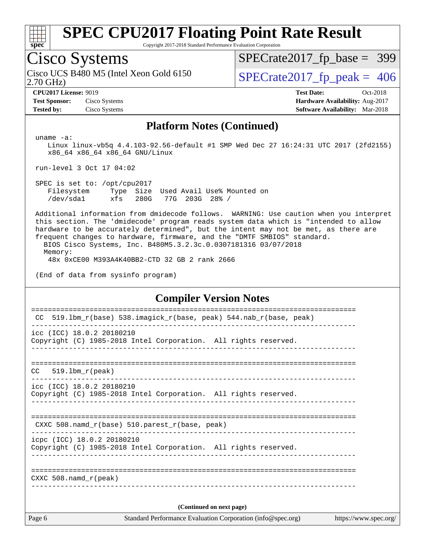

Copyright 2017-2018 Standard Performance Evaluation Corporation

### Cisco Systems

2.70 GHz) Cisco UCS B480 M5 (Intel Xeon Gold 6150  $\vert$  [SPECrate2017\\_fp\\_peak =](http://www.spec.org/auto/cpu2017/Docs/result-fields.html#SPECrate2017fppeak) 406

[SPECrate2017\\_fp\\_base =](http://www.spec.org/auto/cpu2017/Docs/result-fields.html#SPECrate2017fpbase) 399

**[Test Sponsor:](http://www.spec.org/auto/cpu2017/Docs/result-fields.html#TestSponsor)** Cisco Systems **[Hardware Availability:](http://www.spec.org/auto/cpu2017/Docs/result-fields.html#HardwareAvailability)** Aug-2017 **[Tested by:](http://www.spec.org/auto/cpu2017/Docs/result-fields.html#Testedby)** Cisco Systems **[Software Availability:](http://www.spec.org/auto/cpu2017/Docs/result-fields.html#SoftwareAvailability)** Mar-2018

**[CPU2017 License:](http://www.spec.org/auto/cpu2017/Docs/result-fields.html#CPU2017License)** 9019 **[Test Date:](http://www.spec.org/auto/cpu2017/Docs/result-fields.html#TestDate)** Oct-2018

#### **[Platform Notes \(Continued\)](http://www.spec.org/auto/cpu2017/Docs/result-fields.html#PlatformNotes)**

uname -a:

 Linux linux-vb5q 4.4.103-92.56-default #1 SMP Wed Dec 27 16:24:31 UTC 2017 (2fd2155) x86\_64 x86\_64 x86\_64 GNU/Linux

run-level 3 Oct 17 04:02

 SPEC is set to: /opt/cpu2017 Filesystem Type Size Used Avail Use% Mounted on /dev/sda1 xfs 280G 77G 203G 28% /

 Additional information from dmidecode follows. WARNING: Use caution when you interpret this section. The 'dmidecode' program reads system data which is "intended to allow hardware to be accurately determined", but the intent may not be met, as there are frequent changes to hardware, firmware, and the "DMTF SMBIOS" standard. BIOS Cisco Systems, Inc. B480M5.3.2.3c.0.0307181316 03/07/2018 Memory:

48x 0xCE00 M393A4K40BB2-CTD 32 GB 2 rank 2666

(End of data from sysinfo program)

#### **[Compiler Version Notes](http://www.spec.org/auto/cpu2017/Docs/result-fields.html#CompilerVersionNotes)**

| Page 6                      | Standard Performance Evaluation Corporation (info@spec.org)                                   | https://www.spec.org/ |
|-----------------------------|-----------------------------------------------------------------------------------------------|-----------------------|
|                             | (Continued on next page)                                                                      |                       |
| CXXC $508$ .namd $r$ (peak) |                                                                                               |                       |
|                             |                                                                                               |                       |
|                             | icpc (ICC) 18.0.2 20180210<br>Copyright (C) 1985-2018 Intel Corporation. All rights reserved. |                       |
|                             | -------------<br>CXXC 508. namd $r(base)$ 510. parest $r(base, peak)$                         |                       |
|                             |                                                                                               |                       |
|                             | icc (ICC) 18.0.2 20180210<br>Copyright (C) 1985-2018 Intel Corporation. All rights reserved.  |                       |
| $CC = 519.1$ bm $r$ (peak)  |                                                                                               |                       |
|                             | Copyright (C) 1985-2018 Intel Corporation. All rights reserved.                               |                       |
|                             | icc (ICC) 18.0.2 20180210                                                                     |                       |
| <b>CC</b>                   | 519.1bm_r(base) 538.imagick_r(base, peak) 544.nab_r(base, peak)                               |                       |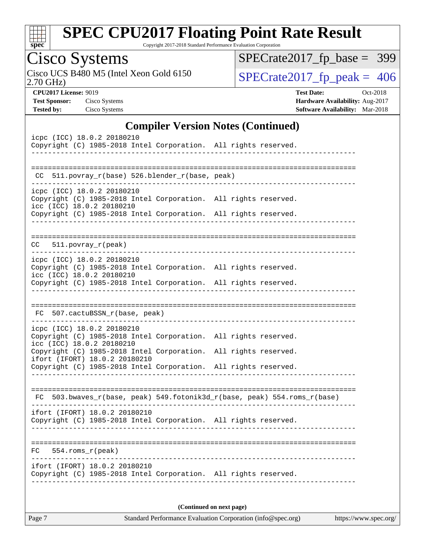

Copyright 2017-2018 Standard Performance Evaluation Corporation

### Cisco Systems

2.70 GHz) Cisco UCS B480 M5 (Intel Xeon Gold 6150  $SPECrate2017_fp\_peak = 406$ 

[SPECrate2017\\_fp\\_base =](http://www.spec.org/auto/cpu2017/Docs/result-fields.html#SPECrate2017fpbase) 399

**[CPU2017 License:](http://www.spec.org/auto/cpu2017/Docs/result-fields.html#CPU2017License)** 9019 **[Test Date:](http://www.spec.org/auto/cpu2017/Docs/result-fields.html#TestDate)** Oct-2018 **[Test Sponsor:](http://www.spec.org/auto/cpu2017/Docs/result-fields.html#TestSponsor)** Cisco Systems **[Hardware Availability:](http://www.spec.org/auto/cpu2017/Docs/result-fields.html#HardwareAvailability)** Aug-2017 **[Tested by:](http://www.spec.org/auto/cpu2017/Docs/result-fields.html#Testedby)** Cisco Systems **[Software Availability:](http://www.spec.org/auto/cpu2017/Docs/result-fields.html#SoftwareAvailability)** Mar-2018

#### **[Compiler Version Notes \(Continued\)](http://www.spec.org/auto/cpu2017/Docs/result-fields.html#CompilerVersionNotes)**

| icpc (ICC) 18.0.2 20180210<br>Copyright (C) 1985-2018 Intel Corporation. All rights reserved.    |                 |                                                                          |  |  |  |
|--------------------------------------------------------------------------------------------------|-----------------|--------------------------------------------------------------------------|--|--|--|
| CC 511.povray_r(base) 526.blender_r(base, peak)                                                  |                 |                                                                          |  |  |  |
| icpc (ICC) 18.0.2 20180210                                                                       |                 |                                                                          |  |  |  |
| Copyright (C) 1985-2018 Intel Corporation. All rights reserved.<br>icc (ICC) 18.0.2 20180210     |                 |                                                                          |  |  |  |
| Copyright (C) 1985-2018 Intel Corporation. All rights reserved.                                  | --------------- |                                                                          |  |  |  |
| $511. povray_r (peak)$<br>CC.                                                                    |                 |                                                                          |  |  |  |
| icpc (ICC) 18.0.2 20180210                                                                       |                 |                                                                          |  |  |  |
| Copyright (C) 1985-2018 Intel Corporation. All rights reserved.                                  |                 |                                                                          |  |  |  |
| icc (ICC) 18.0.2 20180210<br>Copyright (C) 1985-2018 Intel Corporation. All rights reserved.     |                 |                                                                          |  |  |  |
|                                                                                                  |                 |                                                                          |  |  |  |
| FC 507.cactuBSSN_r(base, peak)                                                                   |                 |                                                                          |  |  |  |
| icpc (ICC) 18.0.2 20180210                                                                       |                 |                                                                          |  |  |  |
| Copyright (C) 1985-2018 Intel Corporation. All rights reserved.<br>icc (ICC) 18.0.2 20180210     |                 |                                                                          |  |  |  |
| Copyright (C) 1985-2018 Intel Corporation. All rights reserved.                                  |                 |                                                                          |  |  |  |
| ifort (IFORT) 18.0.2 20180210<br>Copyright (C) 1985-2018 Intel Corporation. All rights reserved. |                 |                                                                          |  |  |  |
|                                                                                                  |                 |                                                                          |  |  |  |
|                                                                                                  |                 | FC 503.bwaves_r(base, peak) 549.fotonik3d_r(base, peak) 554.roms_r(base) |  |  |  |
| ifort (IFORT) 18.0.2 20180210<br>Copyright (C) 1985-2018 Intel Corporation. All rights reserved. |                 |                                                                          |  |  |  |
|                                                                                                  |                 |                                                                          |  |  |  |
| $554.rows_r (peak)$<br>FC.                                                                       |                 |                                                                          |  |  |  |
| ifort (IFORT) 18.0.2 20180210<br>Copyright (C) 1985-2018 Intel Corporation. All rights reserved. |                 |                                                                          |  |  |  |
| (Continued on next page)                                                                         |                 |                                                                          |  |  |  |
|                                                                                                  |                 |                                                                          |  |  |  |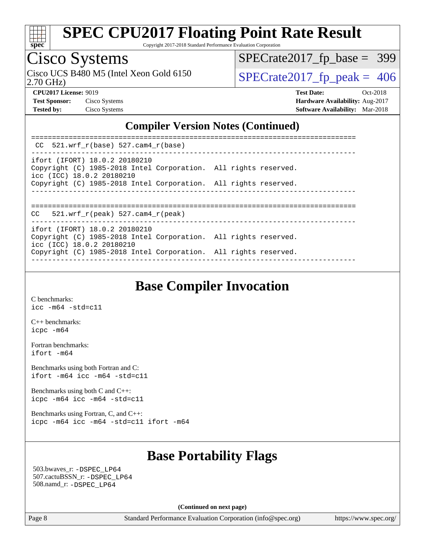

Copyright 2017-2018 Standard Performance Evaluation Corporation

### Cisco Systems

2.70 GHz) Cisco UCS B480 M5 (Intel Xeon Gold 6150  $\vert$  [SPECrate2017\\_fp\\_peak =](http://www.spec.org/auto/cpu2017/Docs/result-fields.html#SPECrate2017fppeak) 406

[SPECrate2017\\_fp\\_base =](http://www.spec.org/auto/cpu2017/Docs/result-fields.html#SPECrate2017fpbase) 399

| <b>Test Sponsor:</b> | Cisco Systems |
|----------------------|---------------|
| <b>Tested by:</b>    | Cisco System  |

**[CPU2017 License:](http://www.spec.org/auto/cpu2017/Docs/result-fields.html#CPU2017License)** 9019 **[Test Date:](http://www.spec.org/auto/cpu2017/Docs/result-fields.html#TestDate)** Oct-2018 **[Test Sponsor:](http://www.spec.org/auto/cpu2017/Docs/result-fields.html#TestSponsor)** Cisco Systems **[Hardware Availability:](http://www.spec.org/auto/cpu2017/Docs/result-fields.html#HardwareAvailability)** Aug-2017 **[Tested by:](http://www.spec.org/auto/cpu2017/Docs/result-fields.html#Testedby)** Cisco Systems **[Software Availability:](http://www.spec.org/auto/cpu2017/Docs/result-fields.html#SoftwareAvailability)** Mar-2018

#### **[Compiler Version Notes \(Continued\)](http://www.spec.org/auto/cpu2017/Docs/result-fields.html#CompilerVersionNotes)**

| CC $521.$ wrf r(base) 527.cam4 r(base)                                                                                        |  |  |
|-------------------------------------------------------------------------------------------------------------------------------|--|--|
| ifort (IFORT) 18.0.2 20180210<br>Copyright (C) 1985-2018 Intel Corporation. All rights reserved.<br>icc (ICC) 18.0.2 20180210 |  |  |
| Copyright (C) 1985-2018 Intel Corporation. All rights reserved.                                                               |  |  |
| 521.wrf $r(\text{peak})$ 527.cam4 $r(\text{peak})$<br>CC                                                                      |  |  |
| ifort (IFORT) 18.0.2 20180210<br>Copyright (C) 1985-2018 Intel Corporation. All rights reserved.<br>icc (ICC) 18.0.2 20180210 |  |  |
| Copyright (C) 1985-2018 Intel Corporation. All rights reserved.                                                               |  |  |

### **[Base Compiler Invocation](http://www.spec.org/auto/cpu2017/Docs/result-fields.html#BaseCompilerInvocation)**

[C benchmarks](http://www.spec.org/auto/cpu2017/Docs/result-fields.html#Cbenchmarks): [icc -m64 -std=c11](http://www.spec.org/cpu2017/results/res2018q4/cpu2017-20181030-09440.flags.html#user_CCbase_intel_icc_64bit_c11_33ee0cdaae7deeeab2a9725423ba97205ce30f63b9926c2519791662299b76a0318f32ddfffdc46587804de3178b4f9328c46fa7c2b0cd779d7a61945c91cd35)

[C++ benchmarks:](http://www.spec.org/auto/cpu2017/Docs/result-fields.html#CXXbenchmarks) [icpc -m64](http://www.spec.org/cpu2017/results/res2018q4/cpu2017-20181030-09440.flags.html#user_CXXbase_intel_icpc_64bit_4ecb2543ae3f1412ef961e0650ca070fec7b7afdcd6ed48761b84423119d1bf6bdf5cad15b44d48e7256388bc77273b966e5eb805aefd121eb22e9299b2ec9d9)

[Fortran benchmarks](http://www.spec.org/auto/cpu2017/Docs/result-fields.html#Fortranbenchmarks): [ifort -m64](http://www.spec.org/cpu2017/results/res2018q4/cpu2017-20181030-09440.flags.html#user_FCbase_intel_ifort_64bit_24f2bb282fbaeffd6157abe4f878425411749daecae9a33200eee2bee2fe76f3b89351d69a8130dd5949958ce389cf37ff59a95e7a40d588e8d3a57e0c3fd751)

[Benchmarks using both Fortran and C](http://www.spec.org/auto/cpu2017/Docs/result-fields.html#BenchmarksusingbothFortranandC): [ifort -m64](http://www.spec.org/cpu2017/results/res2018q4/cpu2017-20181030-09440.flags.html#user_CC_FCbase_intel_ifort_64bit_24f2bb282fbaeffd6157abe4f878425411749daecae9a33200eee2bee2fe76f3b89351d69a8130dd5949958ce389cf37ff59a95e7a40d588e8d3a57e0c3fd751) [icc -m64 -std=c11](http://www.spec.org/cpu2017/results/res2018q4/cpu2017-20181030-09440.flags.html#user_CC_FCbase_intel_icc_64bit_c11_33ee0cdaae7deeeab2a9725423ba97205ce30f63b9926c2519791662299b76a0318f32ddfffdc46587804de3178b4f9328c46fa7c2b0cd779d7a61945c91cd35)

[Benchmarks using both C and C++](http://www.spec.org/auto/cpu2017/Docs/result-fields.html#BenchmarksusingbothCandCXX): [icpc -m64](http://www.spec.org/cpu2017/results/res2018q4/cpu2017-20181030-09440.flags.html#user_CC_CXXbase_intel_icpc_64bit_4ecb2543ae3f1412ef961e0650ca070fec7b7afdcd6ed48761b84423119d1bf6bdf5cad15b44d48e7256388bc77273b966e5eb805aefd121eb22e9299b2ec9d9) [icc -m64 -std=c11](http://www.spec.org/cpu2017/results/res2018q4/cpu2017-20181030-09440.flags.html#user_CC_CXXbase_intel_icc_64bit_c11_33ee0cdaae7deeeab2a9725423ba97205ce30f63b9926c2519791662299b76a0318f32ddfffdc46587804de3178b4f9328c46fa7c2b0cd779d7a61945c91cd35)

[Benchmarks using Fortran, C, and C++:](http://www.spec.org/auto/cpu2017/Docs/result-fields.html#BenchmarksusingFortranCandCXX) [icpc -m64](http://www.spec.org/cpu2017/results/res2018q4/cpu2017-20181030-09440.flags.html#user_CC_CXX_FCbase_intel_icpc_64bit_4ecb2543ae3f1412ef961e0650ca070fec7b7afdcd6ed48761b84423119d1bf6bdf5cad15b44d48e7256388bc77273b966e5eb805aefd121eb22e9299b2ec9d9) [icc -m64 -std=c11](http://www.spec.org/cpu2017/results/res2018q4/cpu2017-20181030-09440.flags.html#user_CC_CXX_FCbase_intel_icc_64bit_c11_33ee0cdaae7deeeab2a9725423ba97205ce30f63b9926c2519791662299b76a0318f32ddfffdc46587804de3178b4f9328c46fa7c2b0cd779d7a61945c91cd35) [ifort -m64](http://www.spec.org/cpu2017/results/res2018q4/cpu2017-20181030-09440.flags.html#user_CC_CXX_FCbase_intel_ifort_64bit_24f2bb282fbaeffd6157abe4f878425411749daecae9a33200eee2bee2fe76f3b89351d69a8130dd5949958ce389cf37ff59a95e7a40d588e8d3a57e0c3fd751)

#### **[Base Portability Flags](http://www.spec.org/auto/cpu2017/Docs/result-fields.html#BasePortabilityFlags)**

 503.bwaves\_r: [-DSPEC\\_LP64](http://www.spec.org/cpu2017/results/res2018q4/cpu2017-20181030-09440.flags.html#suite_basePORTABILITY503_bwaves_r_DSPEC_LP64) 507.cactuBSSN\_r: [-DSPEC\\_LP64](http://www.spec.org/cpu2017/results/res2018q4/cpu2017-20181030-09440.flags.html#suite_basePORTABILITY507_cactuBSSN_r_DSPEC_LP64) 508.namd\_r: [-DSPEC\\_LP64](http://www.spec.org/cpu2017/results/res2018q4/cpu2017-20181030-09440.flags.html#suite_basePORTABILITY508_namd_r_DSPEC_LP64)

**(Continued on next page)**

Page 8 Standard Performance Evaluation Corporation [\(info@spec.org\)](mailto:info@spec.org) <https://www.spec.org/>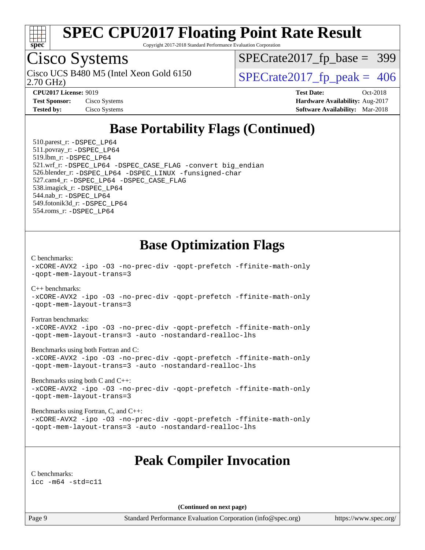

Copyright 2017-2018 Standard Performance Evaluation Corporation

### Cisco Systems

2.70 GHz) Cisco UCS B480 M5 (Intel Xeon Gold 6150  $\vert$  [SPECrate2017\\_fp\\_peak =](http://www.spec.org/auto/cpu2017/Docs/result-fields.html#SPECrate2017fppeak) 406

[SPECrate2017\\_fp\\_base =](http://www.spec.org/auto/cpu2017/Docs/result-fields.html#SPECrate2017fpbase) 399

**[Test Sponsor:](http://www.spec.org/auto/cpu2017/Docs/result-fields.html#TestSponsor)** Cisco Systems **[Hardware Availability:](http://www.spec.org/auto/cpu2017/Docs/result-fields.html#HardwareAvailability)** Aug-2017 **[Tested by:](http://www.spec.org/auto/cpu2017/Docs/result-fields.html#Testedby)** Cisco Systems **[Software Availability:](http://www.spec.org/auto/cpu2017/Docs/result-fields.html#SoftwareAvailability)** Mar-2018

**[CPU2017 License:](http://www.spec.org/auto/cpu2017/Docs/result-fields.html#CPU2017License)** 9019 **[Test Date:](http://www.spec.org/auto/cpu2017/Docs/result-fields.html#TestDate)** Oct-2018

### **[Base Portability Flags \(Continued\)](http://www.spec.org/auto/cpu2017/Docs/result-fields.html#BasePortabilityFlags)**

 510.parest\_r: [-DSPEC\\_LP64](http://www.spec.org/cpu2017/results/res2018q4/cpu2017-20181030-09440.flags.html#suite_basePORTABILITY510_parest_r_DSPEC_LP64) 511.povray\_r: [-DSPEC\\_LP64](http://www.spec.org/cpu2017/results/res2018q4/cpu2017-20181030-09440.flags.html#suite_basePORTABILITY511_povray_r_DSPEC_LP64) 519.lbm\_r: [-DSPEC\\_LP64](http://www.spec.org/cpu2017/results/res2018q4/cpu2017-20181030-09440.flags.html#suite_basePORTABILITY519_lbm_r_DSPEC_LP64) 521.wrf\_r: [-DSPEC\\_LP64](http://www.spec.org/cpu2017/results/res2018q4/cpu2017-20181030-09440.flags.html#suite_basePORTABILITY521_wrf_r_DSPEC_LP64) [-DSPEC\\_CASE\\_FLAG](http://www.spec.org/cpu2017/results/res2018q4/cpu2017-20181030-09440.flags.html#b521.wrf_r_baseCPORTABILITY_DSPEC_CASE_FLAG) [-convert big\\_endian](http://www.spec.org/cpu2017/results/res2018q4/cpu2017-20181030-09440.flags.html#user_baseFPORTABILITY521_wrf_r_convert_big_endian_c3194028bc08c63ac5d04de18c48ce6d347e4e562e8892b8bdbdc0214820426deb8554edfa529a3fb25a586e65a3d812c835984020483e7e73212c4d31a38223) 526.blender\_r: [-DSPEC\\_LP64](http://www.spec.org/cpu2017/results/res2018q4/cpu2017-20181030-09440.flags.html#suite_basePORTABILITY526_blender_r_DSPEC_LP64) [-DSPEC\\_LINUX](http://www.spec.org/cpu2017/results/res2018q4/cpu2017-20181030-09440.flags.html#b526.blender_r_baseCPORTABILITY_DSPEC_LINUX) [-funsigned-char](http://www.spec.org/cpu2017/results/res2018q4/cpu2017-20181030-09440.flags.html#user_baseCPORTABILITY526_blender_r_force_uchar_40c60f00ab013830e2dd6774aeded3ff59883ba5a1fc5fc14077f794d777847726e2a5858cbc7672e36e1b067e7e5c1d9a74f7176df07886a243d7cc18edfe67) 527.cam4\_r: [-DSPEC\\_LP64](http://www.spec.org/cpu2017/results/res2018q4/cpu2017-20181030-09440.flags.html#suite_basePORTABILITY527_cam4_r_DSPEC_LP64) [-DSPEC\\_CASE\\_FLAG](http://www.spec.org/cpu2017/results/res2018q4/cpu2017-20181030-09440.flags.html#b527.cam4_r_baseCPORTABILITY_DSPEC_CASE_FLAG) 538.imagick\_r: [-DSPEC\\_LP64](http://www.spec.org/cpu2017/results/res2018q4/cpu2017-20181030-09440.flags.html#suite_basePORTABILITY538_imagick_r_DSPEC_LP64) 544.nab\_r: [-DSPEC\\_LP64](http://www.spec.org/cpu2017/results/res2018q4/cpu2017-20181030-09440.flags.html#suite_basePORTABILITY544_nab_r_DSPEC_LP64) 549.fotonik3d\_r: [-DSPEC\\_LP64](http://www.spec.org/cpu2017/results/res2018q4/cpu2017-20181030-09440.flags.html#suite_basePORTABILITY549_fotonik3d_r_DSPEC_LP64) 554.roms\_r: [-DSPEC\\_LP64](http://www.spec.org/cpu2017/results/res2018q4/cpu2017-20181030-09440.flags.html#suite_basePORTABILITY554_roms_r_DSPEC_LP64)

#### **[Base Optimization Flags](http://www.spec.org/auto/cpu2017/Docs/result-fields.html#BaseOptimizationFlags)**

[C benchmarks](http://www.spec.org/auto/cpu2017/Docs/result-fields.html#Cbenchmarks):

[-xCORE-AVX2](http://www.spec.org/cpu2017/results/res2018q4/cpu2017-20181030-09440.flags.html#user_CCbase_f-xCORE-AVX2) [-ipo](http://www.spec.org/cpu2017/results/res2018q4/cpu2017-20181030-09440.flags.html#user_CCbase_f-ipo) [-O3](http://www.spec.org/cpu2017/results/res2018q4/cpu2017-20181030-09440.flags.html#user_CCbase_f-O3) [-no-prec-div](http://www.spec.org/cpu2017/results/res2018q4/cpu2017-20181030-09440.flags.html#user_CCbase_f-no-prec-div) [-qopt-prefetch](http://www.spec.org/cpu2017/results/res2018q4/cpu2017-20181030-09440.flags.html#user_CCbase_f-qopt-prefetch) [-ffinite-math-only](http://www.spec.org/cpu2017/results/res2018q4/cpu2017-20181030-09440.flags.html#user_CCbase_f_finite_math_only_cb91587bd2077682c4b38af759c288ed7c732db004271a9512da14a4f8007909a5f1427ecbf1a0fb78ff2a814402c6114ac565ca162485bbcae155b5e4258871) [-qopt-mem-layout-trans=3](http://www.spec.org/cpu2017/results/res2018q4/cpu2017-20181030-09440.flags.html#user_CCbase_f-qopt-mem-layout-trans_de80db37974c74b1f0e20d883f0b675c88c3b01e9d123adea9b28688d64333345fb62bc4a798493513fdb68f60282f9a726aa07f478b2f7113531aecce732043)

[C++ benchmarks:](http://www.spec.org/auto/cpu2017/Docs/result-fields.html#CXXbenchmarks)

[-xCORE-AVX2](http://www.spec.org/cpu2017/results/res2018q4/cpu2017-20181030-09440.flags.html#user_CXXbase_f-xCORE-AVX2) [-ipo](http://www.spec.org/cpu2017/results/res2018q4/cpu2017-20181030-09440.flags.html#user_CXXbase_f-ipo) [-O3](http://www.spec.org/cpu2017/results/res2018q4/cpu2017-20181030-09440.flags.html#user_CXXbase_f-O3) [-no-prec-div](http://www.spec.org/cpu2017/results/res2018q4/cpu2017-20181030-09440.flags.html#user_CXXbase_f-no-prec-div) [-qopt-prefetch](http://www.spec.org/cpu2017/results/res2018q4/cpu2017-20181030-09440.flags.html#user_CXXbase_f-qopt-prefetch) [-ffinite-math-only](http://www.spec.org/cpu2017/results/res2018q4/cpu2017-20181030-09440.flags.html#user_CXXbase_f_finite_math_only_cb91587bd2077682c4b38af759c288ed7c732db004271a9512da14a4f8007909a5f1427ecbf1a0fb78ff2a814402c6114ac565ca162485bbcae155b5e4258871) [-qopt-mem-layout-trans=3](http://www.spec.org/cpu2017/results/res2018q4/cpu2017-20181030-09440.flags.html#user_CXXbase_f-qopt-mem-layout-trans_de80db37974c74b1f0e20d883f0b675c88c3b01e9d123adea9b28688d64333345fb62bc4a798493513fdb68f60282f9a726aa07f478b2f7113531aecce732043)

#### [Fortran benchmarks](http://www.spec.org/auto/cpu2017/Docs/result-fields.html#Fortranbenchmarks):

[-xCORE-AVX2](http://www.spec.org/cpu2017/results/res2018q4/cpu2017-20181030-09440.flags.html#user_FCbase_f-xCORE-AVX2) [-ipo](http://www.spec.org/cpu2017/results/res2018q4/cpu2017-20181030-09440.flags.html#user_FCbase_f-ipo) [-O3](http://www.spec.org/cpu2017/results/res2018q4/cpu2017-20181030-09440.flags.html#user_FCbase_f-O3) [-no-prec-div](http://www.spec.org/cpu2017/results/res2018q4/cpu2017-20181030-09440.flags.html#user_FCbase_f-no-prec-div) [-qopt-prefetch](http://www.spec.org/cpu2017/results/res2018q4/cpu2017-20181030-09440.flags.html#user_FCbase_f-qopt-prefetch) [-ffinite-math-only](http://www.spec.org/cpu2017/results/res2018q4/cpu2017-20181030-09440.flags.html#user_FCbase_f_finite_math_only_cb91587bd2077682c4b38af759c288ed7c732db004271a9512da14a4f8007909a5f1427ecbf1a0fb78ff2a814402c6114ac565ca162485bbcae155b5e4258871) [-qopt-mem-layout-trans=3](http://www.spec.org/cpu2017/results/res2018q4/cpu2017-20181030-09440.flags.html#user_FCbase_f-qopt-mem-layout-trans_de80db37974c74b1f0e20d883f0b675c88c3b01e9d123adea9b28688d64333345fb62bc4a798493513fdb68f60282f9a726aa07f478b2f7113531aecce732043) [-auto](http://www.spec.org/cpu2017/results/res2018q4/cpu2017-20181030-09440.flags.html#user_FCbase_f-auto) [-nostandard-realloc-lhs](http://www.spec.org/cpu2017/results/res2018q4/cpu2017-20181030-09440.flags.html#user_FCbase_f_2003_std_realloc_82b4557e90729c0f113870c07e44d33d6f5a304b4f63d4c15d2d0f1fab99f5daaed73bdb9275d9ae411527f28b936061aa8b9c8f2d63842963b95c9dd6426b8a)

[Benchmarks using both Fortran and C](http://www.spec.org/auto/cpu2017/Docs/result-fields.html#BenchmarksusingbothFortranandC):

[-xCORE-AVX2](http://www.spec.org/cpu2017/results/res2018q4/cpu2017-20181030-09440.flags.html#user_CC_FCbase_f-xCORE-AVX2) [-ipo](http://www.spec.org/cpu2017/results/res2018q4/cpu2017-20181030-09440.flags.html#user_CC_FCbase_f-ipo) [-O3](http://www.spec.org/cpu2017/results/res2018q4/cpu2017-20181030-09440.flags.html#user_CC_FCbase_f-O3) [-no-prec-div](http://www.spec.org/cpu2017/results/res2018q4/cpu2017-20181030-09440.flags.html#user_CC_FCbase_f-no-prec-div) [-qopt-prefetch](http://www.spec.org/cpu2017/results/res2018q4/cpu2017-20181030-09440.flags.html#user_CC_FCbase_f-qopt-prefetch) [-ffinite-math-only](http://www.spec.org/cpu2017/results/res2018q4/cpu2017-20181030-09440.flags.html#user_CC_FCbase_f_finite_math_only_cb91587bd2077682c4b38af759c288ed7c732db004271a9512da14a4f8007909a5f1427ecbf1a0fb78ff2a814402c6114ac565ca162485bbcae155b5e4258871) [-qopt-mem-layout-trans=3](http://www.spec.org/cpu2017/results/res2018q4/cpu2017-20181030-09440.flags.html#user_CC_FCbase_f-qopt-mem-layout-trans_de80db37974c74b1f0e20d883f0b675c88c3b01e9d123adea9b28688d64333345fb62bc4a798493513fdb68f60282f9a726aa07f478b2f7113531aecce732043) [-auto](http://www.spec.org/cpu2017/results/res2018q4/cpu2017-20181030-09440.flags.html#user_CC_FCbase_f-auto) [-nostandard-realloc-lhs](http://www.spec.org/cpu2017/results/res2018q4/cpu2017-20181030-09440.flags.html#user_CC_FCbase_f_2003_std_realloc_82b4557e90729c0f113870c07e44d33d6f5a304b4f63d4c15d2d0f1fab99f5daaed73bdb9275d9ae411527f28b936061aa8b9c8f2d63842963b95c9dd6426b8a)

[Benchmarks using both C and C++](http://www.spec.org/auto/cpu2017/Docs/result-fields.html#BenchmarksusingbothCandCXX): [-xCORE-AVX2](http://www.spec.org/cpu2017/results/res2018q4/cpu2017-20181030-09440.flags.html#user_CC_CXXbase_f-xCORE-AVX2) [-ipo](http://www.spec.org/cpu2017/results/res2018q4/cpu2017-20181030-09440.flags.html#user_CC_CXXbase_f-ipo) [-O3](http://www.spec.org/cpu2017/results/res2018q4/cpu2017-20181030-09440.flags.html#user_CC_CXXbase_f-O3) [-no-prec-div](http://www.spec.org/cpu2017/results/res2018q4/cpu2017-20181030-09440.flags.html#user_CC_CXXbase_f-no-prec-div) [-qopt-prefetch](http://www.spec.org/cpu2017/results/res2018q4/cpu2017-20181030-09440.flags.html#user_CC_CXXbase_f-qopt-prefetch) [-ffinite-math-only](http://www.spec.org/cpu2017/results/res2018q4/cpu2017-20181030-09440.flags.html#user_CC_CXXbase_f_finite_math_only_cb91587bd2077682c4b38af759c288ed7c732db004271a9512da14a4f8007909a5f1427ecbf1a0fb78ff2a814402c6114ac565ca162485bbcae155b5e4258871) [-qopt-mem-layout-trans=3](http://www.spec.org/cpu2017/results/res2018q4/cpu2017-20181030-09440.flags.html#user_CC_CXXbase_f-qopt-mem-layout-trans_de80db37974c74b1f0e20d883f0b675c88c3b01e9d123adea9b28688d64333345fb62bc4a798493513fdb68f60282f9a726aa07f478b2f7113531aecce732043)

[Benchmarks using Fortran, C, and C++:](http://www.spec.org/auto/cpu2017/Docs/result-fields.html#BenchmarksusingFortranCandCXX) [-xCORE-AVX2](http://www.spec.org/cpu2017/results/res2018q4/cpu2017-20181030-09440.flags.html#user_CC_CXX_FCbase_f-xCORE-AVX2) [-ipo](http://www.spec.org/cpu2017/results/res2018q4/cpu2017-20181030-09440.flags.html#user_CC_CXX_FCbase_f-ipo) [-O3](http://www.spec.org/cpu2017/results/res2018q4/cpu2017-20181030-09440.flags.html#user_CC_CXX_FCbase_f-O3) [-no-prec-div](http://www.spec.org/cpu2017/results/res2018q4/cpu2017-20181030-09440.flags.html#user_CC_CXX_FCbase_f-no-prec-div) [-qopt-prefetch](http://www.spec.org/cpu2017/results/res2018q4/cpu2017-20181030-09440.flags.html#user_CC_CXX_FCbase_f-qopt-prefetch) [-ffinite-math-only](http://www.spec.org/cpu2017/results/res2018q4/cpu2017-20181030-09440.flags.html#user_CC_CXX_FCbase_f_finite_math_only_cb91587bd2077682c4b38af759c288ed7c732db004271a9512da14a4f8007909a5f1427ecbf1a0fb78ff2a814402c6114ac565ca162485bbcae155b5e4258871) [-qopt-mem-layout-trans=3](http://www.spec.org/cpu2017/results/res2018q4/cpu2017-20181030-09440.flags.html#user_CC_CXX_FCbase_f-qopt-mem-layout-trans_de80db37974c74b1f0e20d883f0b675c88c3b01e9d123adea9b28688d64333345fb62bc4a798493513fdb68f60282f9a726aa07f478b2f7113531aecce732043) [-auto](http://www.spec.org/cpu2017/results/res2018q4/cpu2017-20181030-09440.flags.html#user_CC_CXX_FCbase_f-auto) [-nostandard-realloc-lhs](http://www.spec.org/cpu2017/results/res2018q4/cpu2017-20181030-09440.flags.html#user_CC_CXX_FCbase_f_2003_std_realloc_82b4557e90729c0f113870c07e44d33d6f5a304b4f63d4c15d2d0f1fab99f5daaed73bdb9275d9ae411527f28b936061aa8b9c8f2d63842963b95c9dd6426b8a)

#### **[Peak Compiler Invocation](http://www.spec.org/auto/cpu2017/Docs/result-fields.html#PeakCompilerInvocation)**

[C benchmarks](http://www.spec.org/auto/cpu2017/Docs/result-fields.html#Cbenchmarks): [icc -m64 -std=c11](http://www.spec.org/cpu2017/results/res2018q4/cpu2017-20181030-09440.flags.html#user_CCpeak_intel_icc_64bit_c11_33ee0cdaae7deeeab2a9725423ba97205ce30f63b9926c2519791662299b76a0318f32ddfffdc46587804de3178b4f9328c46fa7c2b0cd779d7a61945c91cd35)

**(Continued on next page)**

Page 9 Standard Performance Evaluation Corporation [\(info@spec.org\)](mailto:info@spec.org) <https://www.spec.org/>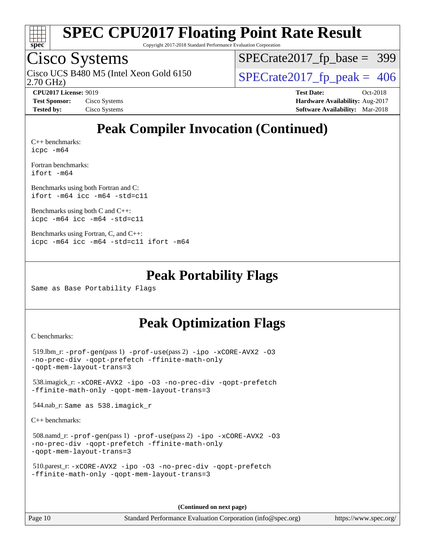

Copyright 2017-2018 Standard Performance Evaluation Corporation

### Cisco Systems

2.70 GHz) Cisco UCS B480 M5 (Intel Xeon Gold 6150  $\vert$  [SPECrate2017\\_fp\\_peak =](http://www.spec.org/auto/cpu2017/Docs/result-fields.html#SPECrate2017fppeak) 406

[SPECrate2017\\_fp\\_base =](http://www.spec.org/auto/cpu2017/Docs/result-fields.html#SPECrate2017fpbase) 399

**[CPU2017 License:](http://www.spec.org/auto/cpu2017/Docs/result-fields.html#CPU2017License)** 9019 **[Test Date:](http://www.spec.org/auto/cpu2017/Docs/result-fields.html#TestDate)** Oct-2018 **[Test Sponsor:](http://www.spec.org/auto/cpu2017/Docs/result-fields.html#TestSponsor)** Cisco Systems **[Hardware Availability:](http://www.spec.org/auto/cpu2017/Docs/result-fields.html#HardwareAvailability)** Aug-2017 **[Tested by:](http://www.spec.org/auto/cpu2017/Docs/result-fields.html#Testedby)** Cisco Systems **[Software Availability:](http://www.spec.org/auto/cpu2017/Docs/result-fields.html#SoftwareAvailability)** Mar-2018

### **[Peak Compiler Invocation \(Continued\)](http://www.spec.org/auto/cpu2017/Docs/result-fields.html#PeakCompilerInvocation)**

[C++ benchmarks:](http://www.spec.org/auto/cpu2017/Docs/result-fields.html#CXXbenchmarks) [icpc -m64](http://www.spec.org/cpu2017/results/res2018q4/cpu2017-20181030-09440.flags.html#user_CXXpeak_intel_icpc_64bit_4ecb2543ae3f1412ef961e0650ca070fec7b7afdcd6ed48761b84423119d1bf6bdf5cad15b44d48e7256388bc77273b966e5eb805aefd121eb22e9299b2ec9d9)

[Fortran benchmarks](http://www.spec.org/auto/cpu2017/Docs/result-fields.html#Fortranbenchmarks): [ifort -m64](http://www.spec.org/cpu2017/results/res2018q4/cpu2017-20181030-09440.flags.html#user_FCpeak_intel_ifort_64bit_24f2bb282fbaeffd6157abe4f878425411749daecae9a33200eee2bee2fe76f3b89351d69a8130dd5949958ce389cf37ff59a95e7a40d588e8d3a57e0c3fd751)

[Benchmarks using both Fortran and C](http://www.spec.org/auto/cpu2017/Docs/result-fields.html#BenchmarksusingbothFortranandC): [ifort -m64](http://www.spec.org/cpu2017/results/res2018q4/cpu2017-20181030-09440.flags.html#user_CC_FCpeak_intel_ifort_64bit_24f2bb282fbaeffd6157abe4f878425411749daecae9a33200eee2bee2fe76f3b89351d69a8130dd5949958ce389cf37ff59a95e7a40d588e8d3a57e0c3fd751) [icc -m64 -std=c11](http://www.spec.org/cpu2017/results/res2018q4/cpu2017-20181030-09440.flags.html#user_CC_FCpeak_intel_icc_64bit_c11_33ee0cdaae7deeeab2a9725423ba97205ce30f63b9926c2519791662299b76a0318f32ddfffdc46587804de3178b4f9328c46fa7c2b0cd779d7a61945c91cd35)

[Benchmarks using both C and C++](http://www.spec.org/auto/cpu2017/Docs/result-fields.html#BenchmarksusingbothCandCXX): [icpc -m64](http://www.spec.org/cpu2017/results/res2018q4/cpu2017-20181030-09440.flags.html#user_CC_CXXpeak_intel_icpc_64bit_4ecb2543ae3f1412ef961e0650ca070fec7b7afdcd6ed48761b84423119d1bf6bdf5cad15b44d48e7256388bc77273b966e5eb805aefd121eb22e9299b2ec9d9) [icc -m64 -std=c11](http://www.spec.org/cpu2017/results/res2018q4/cpu2017-20181030-09440.flags.html#user_CC_CXXpeak_intel_icc_64bit_c11_33ee0cdaae7deeeab2a9725423ba97205ce30f63b9926c2519791662299b76a0318f32ddfffdc46587804de3178b4f9328c46fa7c2b0cd779d7a61945c91cd35)

[Benchmarks using Fortran, C, and C++:](http://www.spec.org/auto/cpu2017/Docs/result-fields.html#BenchmarksusingFortranCandCXX) [icpc -m64](http://www.spec.org/cpu2017/results/res2018q4/cpu2017-20181030-09440.flags.html#user_CC_CXX_FCpeak_intel_icpc_64bit_4ecb2543ae3f1412ef961e0650ca070fec7b7afdcd6ed48761b84423119d1bf6bdf5cad15b44d48e7256388bc77273b966e5eb805aefd121eb22e9299b2ec9d9) [icc -m64 -std=c11](http://www.spec.org/cpu2017/results/res2018q4/cpu2017-20181030-09440.flags.html#user_CC_CXX_FCpeak_intel_icc_64bit_c11_33ee0cdaae7deeeab2a9725423ba97205ce30f63b9926c2519791662299b76a0318f32ddfffdc46587804de3178b4f9328c46fa7c2b0cd779d7a61945c91cd35) [ifort -m64](http://www.spec.org/cpu2017/results/res2018q4/cpu2017-20181030-09440.flags.html#user_CC_CXX_FCpeak_intel_ifort_64bit_24f2bb282fbaeffd6157abe4f878425411749daecae9a33200eee2bee2fe76f3b89351d69a8130dd5949958ce389cf37ff59a95e7a40d588e8d3a57e0c3fd751)

#### **[Peak Portability Flags](http://www.spec.org/auto/cpu2017/Docs/result-fields.html#PeakPortabilityFlags)**

Same as Base Portability Flags

### **[Peak Optimization Flags](http://www.spec.org/auto/cpu2017/Docs/result-fields.html#PeakOptimizationFlags)**

[C benchmarks](http://www.spec.org/auto/cpu2017/Docs/result-fields.html#Cbenchmarks):

519.lbm\_r:  $-\text{prof-qen}(pass 1) -\text{prof-use}(pass 2) -ipo -\text{xCORE-AVX2} -03$  $-\text{prof-qen}(pass 1) -\text{prof-use}(pass 2) -ipo -\text{xCORE-AVX2} -03$  $-\text{prof-qen}(pass 1) -\text{prof-use}(pass 2) -ipo -\text{xCORE-AVX2} -03$ [-no-prec-div](http://www.spec.org/cpu2017/results/res2018q4/cpu2017-20181030-09440.flags.html#user_peakPASS1_COPTIMIZEPASS2_COPTIMIZE519_lbm_r_f-no-prec-div) [-qopt-prefetch](http://www.spec.org/cpu2017/results/res2018q4/cpu2017-20181030-09440.flags.html#user_peakPASS1_COPTIMIZEPASS2_COPTIMIZE519_lbm_r_f-qopt-prefetch) [-ffinite-math-only](http://www.spec.org/cpu2017/results/res2018q4/cpu2017-20181030-09440.flags.html#user_peakPASS1_COPTIMIZEPASS2_COPTIMIZE519_lbm_r_f_finite_math_only_cb91587bd2077682c4b38af759c288ed7c732db004271a9512da14a4f8007909a5f1427ecbf1a0fb78ff2a814402c6114ac565ca162485bbcae155b5e4258871) [-qopt-mem-layout-trans=3](http://www.spec.org/cpu2017/results/res2018q4/cpu2017-20181030-09440.flags.html#user_peakPASS1_COPTIMIZEPASS2_COPTIMIZE519_lbm_r_f-qopt-mem-layout-trans_de80db37974c74b1f0e20d883f0b675c88c3b01e9d123adea9b28688d64333345fb62bc4a798493513fdb68f60282f9a726aa07f478b2f7113531aecce732043) 538.imagick\_r: [-xCORE-AVX2](http://www.spec.org/cpu2017/results/res2018q4/cpu2017-20181030-09440.flags.html#user_peakCOPTIMIZE538_imagick_r_f-xCORE-AVX2) [-ipo](http://www.spec.org/cpu2017/results/res2018q4/cpu2017-20181030-09440.flags.html#user_peakCOPTIMIZE538_imagick_r_f-ipo) [-O3](http://www.spec.org/cpu2017/results/res2018q4/cpu2017-20181030-09440.flags.html#user_peakCOPTIMIZE538_imagick_r_f-O3) [-no-prec-div](http://www.spec.org/cpu2017/results/res2018q4/cpu2017-20181030-09440.flags.html#user_peakCOPTIMIZE538_imagick_r_f-no-prec-div) [-qopt-prefetch](http://www.spec.org/cpu2017/results/res2018q4/cpu2017-20181030-09440.flags.html#user_peakCOPTIMIZE538_imagick_r_f-qopt-prefetch) [-ffinite-math-only](http://www.spec.org/cpu2017/results/res2018q4/cpu2017-20181030-09440.flags.html#user_peakCOPTIMIZE538_imagick_r_f_finite_math_only_cb91587bd2077682c4b38af759c288ed7c732db004271a9512da14a4f8007909a5f1427ecbf1a0fb78ff2a814402c6114ac565ca162485bbcae155b5e4258871) [-qopt-mem-layout-trans=3](http://www.spec.org/cpu2017/results/res2018q4/cpu2017-20181030-09440.flags.html#user_peakCOPTIMIZE538_imagick_r_f-qopt-mem-layout-trans_de80db37974c74b1f0e20d883f0b675c88c3b01e9d123adea9b28688d64333345fb62bc4a798493513fdb68f60282f9a726aa07f478b2f7113531aecce732043) 544.nab\_r: Same as 538.imagick\_r [C++ benchmarks:](http://www.spec.org/auto/cpu2017/Docs/result-fields.html#CXXbenchmarks)

 508.namd\_r: [-prof-gen](http://www.spec.org/cpu2017/results/res2018q4/cpu2017-20181030-09440.flags.html#user_peakPASS1_CXXFLAGSPASS1_LDFLAGS508_namd_r_prof_gen_5aa4926d6013ddb2a31985c654b3eb18169fc0c6952a63635c234f711e6e63dd76e94ad52365559451ec499a2cdb89e4dc58ba4c67ef54ca681ffbe1461d6b36)(pass 1) [-prof-use](http://www.spec.org/cpu2017/results/res2018q4/cpu2017-20181030-09440.flags.html#user_peakPASS2_CXXFLAGSPASS2_LDFLAGS508_namd_r_prof_use_1a21ceae95f36a2b53c25747139a6c16ca95bd9def2a207b4f0849963b97e94f5260e30a0c64f4bb623698870e679ca08317ef8150905d41bd88c6f78df73f19)(pass 2) [-ipo](http://www.spec.org/cpu2017/results/res2018q4/cpu2017-20181030-09440.flags.html#user_peakPASS1_CXXOPTIMIZEPASS2_CXXOPTIMIZE508_namd_r_f-ipo) [-xCORE-AVX2](http://www.spec.org/cpu2017/results/res2018q4/cpu2017-20181030-09440.flags.html#user_peakPASS2_CXXOPTIMIZE508_namd_r_f-xCORE-AVX2) [-O3](http://www.spec.org/cpu2017/results/res2018q4/cpu2017-20181030-09440.flags.html#user_peakPASS1_CXXOPTIMIZEPASS2_CXXOPTIMIZE508_namd_r_f-O3) [-no-prec-div](http://www.spec.org/cpu2017/results/res2018q4/cpu2017-20181030-09440.flags.html#user_peakPASS1_CXXOPTIMIZEPASS2_CXXOPTIMIZE508_namd_r_f-no-prec-div) [-qopt-prefetch](http://www.spec.org/cpu2017/results/res2018q4/cpu2017-20181030-09440.flags.html#user_peakPASS1_CXXOPTIMIZEPASS2_CXXOPTIMIZE508_namd_r_f-qopt-prefetch) [-ffinite-math-only](http://www.spec.org/cpu2017/results/res2018q4/cpu2017-20181030-09440.flags.html#user_peakPASS1_CXXOPTIMIZEPASS2_CXXOPTIMIZE508_namd_r_f_finite_math_only_cb91587bd2077682c4b38af759c288ed7c732db004271a9512da14a4f8007909a5f1427ecbf1a0fb78ff2a814402c6114ac565ca162485bbcae155b5e4258871) [-qopt-mem-layout-trans=3](http://www.spec.org/cpu2017/results/res2018q4/cpu2017-20181030-09440.flags.html#user_peakPASS1_CXXOPTIMIZEPASS2_CXXOPTIMIZE508_namd_r_f-qopt-mem-layout-trans_de80db37974c74b1f0e20d883f0b675c88c3b01e9d123adea9b28688d64333345fb62bc4a798493513fdb68f60282f9a726aa07f478b2f7113531aecce732043)

 510.parest\_r: [-xCORE-AVX2](http://www.spec.org/cpu2017/results/res2018q4/cpu2017-20181030-09440.flags.html#user_peakCXXOPTIMIZE510_parest_r_f-xCORE-AVX2) [-ipo](http://www.spec.org/cpu2017/results/res2018q4/cpu2017-20181030-09440.flags.html#user_peakCXXOPTIMIZE510_parest_r_f-ipo) [-O3](http://www.spec.org/cpu2017/results/res2018q4/cpu2017-20181030-09440.flags.html#user_peakCXXOPTIMIZE510_parest_r_f-O3) [-no-prec-div](http://www.spec.org/cpu2017/results/res2018q4/cpu2017-20181030-09440.flags.html#user_peakCXXOPTIMIZE510_parest_r_f-no-prec-div) [-qopt-prefetch](http://www.spec.org/cpu2017/results/res2018q4/cpu2017-20181030-09440.flags.html#user_peakCXXOPTIMIZE510_parest_r_f-qopt-prefetch) [-ffinite-math-only](http://www.spec.org/cpu2017/results/res2018q4/cpu2017-20181030-09440.flags.html#user_peakCXXOPTIMIZE510_parest_r_f_finite_math_only_cb91587bd2077682c4b38af759c288ed7c732db004271a9512da14a4f8007909a5f1427ecbf1a0fb78ff2a814402c6114ac565ca162485bbcae155b5e4258871) [-qopt-mem-layout-trans=3](http://www.spec.org/cpu2017/results/res2018q4/cpu2017-20181030-09440.flags.html#user_peakCXXOPTIMIZE510_parest_r_f-qopt-mem-layout-trans_de80db37974c74b1f0e20d883f0b675c88c3b01e9d123adea9b28688d64333345fb62bc4a798493513fdb68f60282f9a726aa07f478b2f7113531aecce732043)

**(Continued on next page)**